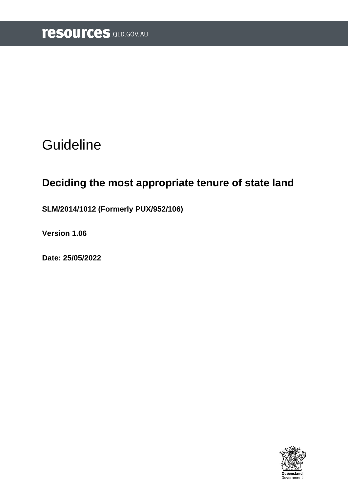# **Guideline**

# **Deciding the most appropriate tenure of state land**

**SLM/2014/1012 (Formerly PUX/952/106)**

**Version 1.06**

**Date: 25/05/2022**

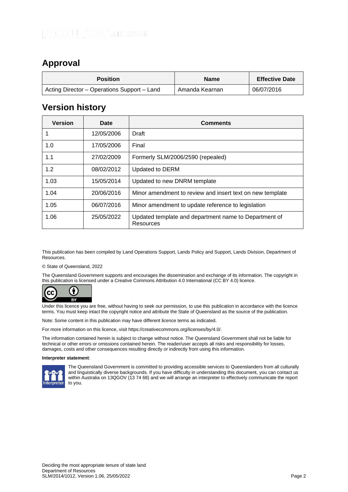# <span id="page-1-0"></span>**Approval**

| <b>Position</b>                             | <b>Name</b>    | <b>Effective Date</b> |
|---------------------------------------------|----------------|-----------------------|
| Acting Director – Operations Support – Land | Amanda Kearnan | 06/07/2016            |

# <span id="page-1-1"></span>**Version history**

| <b>Version</b> | Date       | <b>Comments</b>                                                    |
|----------------|------------|--------------------------------------------------------------------|
|                | 12/05/2006 | Draft                                                              |
| 1.0            | 17/05/2006 | Final                                                              |
| 1.1            | 27/02/2009 | Formerly SLM/2006/2590 (repealed)                                  |
| 1.2            | 08/02/2012 | Updated to DERM                                                    |
| 1.03           | 15/05/2014 | Updated to new DNRM template                                       |
| 1.04           | 20/06/2016 | Minor amendment to review and insert text on new template          |
| 1.05           | 06/07/2016 | Minor amendment to update reference to legislation                 |
| 1.06           | 25/05/2022 | Updated template and department name to Department of<br>Resources |

This publication has been compiled by Land Operations Support, Lands Policy and Support, Lands Division, Department of Resources.

© State of Queensland, 2022

The Queensland Government supports and encourages the dissemination and exchange of its information. The copyright in this publication is licensed under a Creative Commons Attribution 4.0 International (CC BY 4.0) licence.



Under this licence you are free, without having to seek our permission, to use this publication in accordance with the licence terms. You must keep intact the copyright notice and attribute the State of Queensland as the source of the publication.

Note: Some content in this publication may have different licence terms as indicated.

For more information on this licence, visit https://creativecommons.org/licenses/by/4.0/.

The information contained herein is subject to change without notice. The Queensland Government shall not be liable for technical or other errors or omissions contained herein. The reader/user accepts all risks and responsibility for losses, damages, costs and other consequences resulting directly or indirectly from using this information.

#### **Interpreter statement**:



The Queensland Government is committed to providing accessible services to Queenslanders from all culturally and linguistically diverse backgrounds. If you have difficulty in understanding this document, you can contact us within Australia on 13QGOV (13 74 68) and we will arrange an interpreter to effectively communicate the report to you.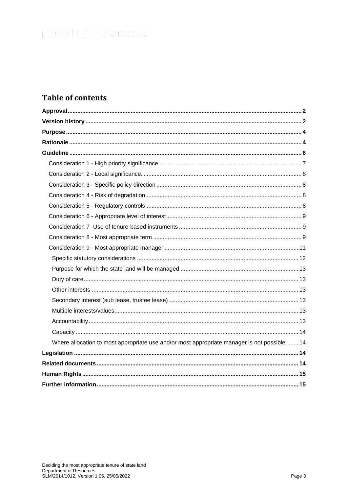# **Table of contents**

| Where allocation to most appropriate use and/or most appropriate manager is not possible.  14 |
|-----------------------------------------------------------------------------------------------|
|                                                                                               |
|                                                                                               |
|                                                                                               |
|                                                                                               |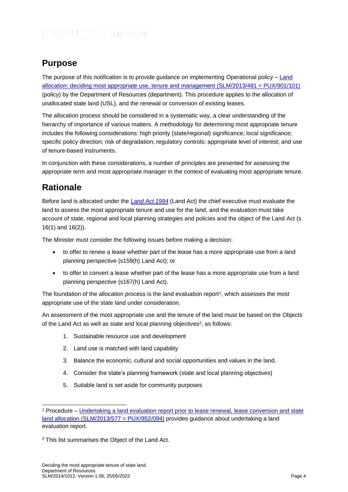# <span id="page-3-0"></span>**Purpose**

The purpose of this notification is to provide guidance on implementing Operational policy  $-\underline{\text{Land}}$ allocation: [deciding most appropriate use, tenure and management \(SLM/2013/481 = PUX/901/101\)](https://www.resources.qld.gov.au/?a=109113:policy_registry/deciding-most-approp-tenure-state-land.pdf&ver=4.02) (policy) by the Department of Resources (department). This procedure applies to the allocation of unallocated state land (USL), and the renewal or conversion of existing leases.

The allocation process should be considered in a systematic way, a clear understanding of the hierarchy of importance of various matters. A methodology for determining most appropriate tenure includes the following considerations: high priority (state/regional) significance; local significance; specific policy direction; risk of degradation; regulatory controls; appropriate level of interest; and use of tenure-based instruments.

In conjunction with these considerations, a number of principles are presented for assessing the appropriate term and most appropriate manager in the context of evaluating most appropriate tenure.

# <span id="page-3-1"></span>**Rationale**

Before land is allocated under the *[Land Act 1994](https://www.legislation.qld.gov.au/view/html/inforce/current/act-1994-081)* (Land Act) the chief executive must evaluate the land to assess the most appropriate tenure and use for the land, and the evaluation must take account of state, regional and local planning strategies and policies and the object of the Land Act (s 16(1) and 16(2)).

The Minister must consider the following issues before making a decision:

- to offer to renew a lease whether part of the lease has a more appropriate use from a land planning perspective (s159(h) Land Act); or
- to offer to convert a lease whether part of the lease has a more appropriate use from a land planning perspective (s167(h) Land Act).

The foundation of the allocation process is the land evaluation report<sup>1</sup>, which assesses the most appropriate use of the state land under consideration.

An assessment of the most appropriate use and the tenure of the land must be based on the Objects of the [Land Act](https://www.legislation.qld.gov.au/LEGISLTN/CURRENT/L/LandA94.pdf) as well as state and local planning objectives<sup>2</sup>, as follows:

- 1. Sustainable resource use and development
- 2. Land use is matched with land capability
- 3. Balance the economic, cultural and social opportunities and values in the land.
- 4. Consider the state's planning framework (state and local planning objectives)
- 5. Suitable land is set aside for community purposes

<sup>1</sup> Procedure – [Undertaking a land evaluation report prior to lease renewal, lease conversion and state](https://www.resources.qld.gov.au/?a=109113:policy_registry/land-evaluation-report-prior-to-allocation.pdf&ver=2.01)  [land allocation \(SLM/2013/577 = PUX/952/094\)](https://www.resources.qld.gov.au/?a=109113:policy_registry/land-evaluation-report-prior-to-allocation.pdf&ver=2.01) provides guidance about undertaking a land evaluation report.

<sup>2</sup> This list summarises the Object of the Land Act.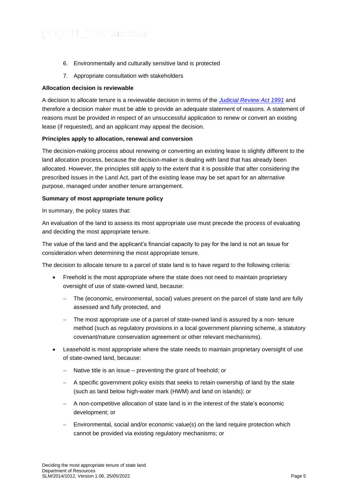- 6. Environmentally and culturally sensitive land is protected
- 7. Appropriate consultation with stakeholders

#### **Allocation decision is reviewable**

A decision to allocate tenure is a reviewable decision in terms of the *Judicial [Review Act 1991](https://www.legislation.qld.gov.au/view/html/inforce/current/act-1991-100)* and therefore a decision maker must be able to provide an adequate statement of reasons. A statement of reasons must be provided in respect of an unsuccessful application to renew or convert an existing lease (if requested), and an applicant may appeal the decision.

#### **Principles apply to allocation, renewal and conversion**

The decision-making process about renewing or converting an existing lease is slightly different to the land allocation process, because the decision-maker is dealing with land that has already been allocated. However, the principles still apply to the extent that it is possible that after considering the prescribed issues in the Land Act, part of the existing lease may be set apart for an alternative purpose, managed under another tenure arrangement.

#### **Summary of most appropriate tenure policy**

In summary, the policy states that:

An evaluation of the land to assess its most appropriate use must precede the process of evaluating and deciding the most appropriate tenure.

The value of the land and the applicant's financial capacity to pay for the land is not an issue for consideration when determining the most appropriate tenure.

The decision to allocate tenure to a parcel of state land is to have regard to the following criteria:

- Freehold is the most appropriate where the state does not need to maintain proprietary oversight of use of state-owned land, because:
	- The (economic, environmental, social) values present on the parcel of state land are fully assessed and fully protected, and
	- The most appropriate use of a parcel of state-owned land is assured by a non- tenure method (such as regulatory provisions in a local government planning scheme, a statutory covenant/nature conservation agreement or other relevant mechanisms).
- Leasehold is most appropriate where the state needs to maintain proprietary oversight of use of state-owned land, because:
	- Native title is an issue preventing the grant of freehold; or
	- − A specific government policy exists that seeks to retain ownership of land by the state (such as land below high-water mark (HWM) and land on islands); or
	- − A non-competitive allocation of state land is in the interest of the state's economic development; or
	- Environmental, social and/or economic value(s) on the land require protection which cannot be provided via existing regulatory mechanisms; or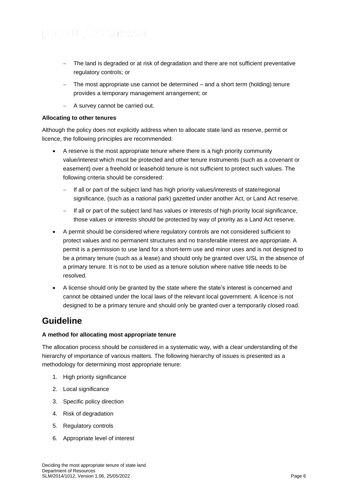- The land is degraded or at risk of degradation and there are not sufficient preventative regulatory controls; or
- − The most appropriate use cannot be determined and a short term (holding) tenure provides a temporary management arrangement; or
- − A survey cannot be carried out.

#### **Allocating to other tenures**

Although the policy does not explicitly address when to allocate state land as reserve, permit or licence, the following principles are recommended:

- A reserve is the most appropriate tenure where there is a high priority community value/interest which must be protected and other tenure instruments (such as a covenant or easement) over a freehold or leasehold tenure is not sufficient to protect such values. The following criteria should be considered:
	- If all or part of the subject land has high priority values/interests of state/regional significance, (such as a national park) gazetted under another Act, or Land Act reserve.
	- − If all or part of the subject land has values or interests of high priority local significance, those values or interests should be protected by way of priority as a Land Act reserve.
- A permit should be considered where regulatory controls are not considered sufficient to protect values and no permanent structures and no transferable interest are appropriate. A permit is a permission to use land for a short-term use and minor uses and is not designed to be a primary tenure (such as a lease) and should only be granted over USL in the absence of a primary tenure. It is not to be used as a tenure solution where native title needs to be resolved.
- A license should only be granted by the state where the state's interest is concerned and cannot be obtained under the local laws of the relevant local government. A licence is not designed to be a primary tenure and should only be granted over a temporarily closed road.

# <span id="page-5-0"></span>**Guideline**

#### **A method for allocating most appropriate tenure**

The allocation process should be considered in a systematic way, with a clear understanding of the hierarchy of importance of various matters. The following hierarchy of issues is presented as a methodology for determining most appropriate tenure:

- 1. High priority significance
- 2. Local significance
- 3. Specific policy direction
- 4. Risk of degradation
- 5. Regulatory controls
- 6. Appropriate level of interest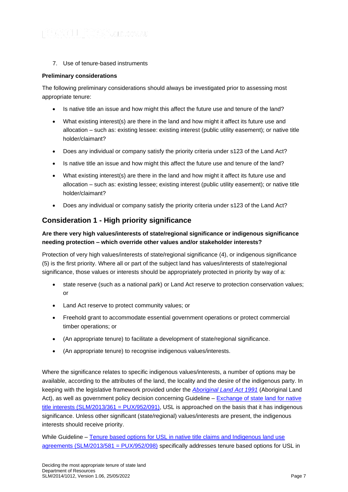7. Use of tenure-based instruments

#### **Preliminary considerations**

The following preliminary considerations should always be investigated prior to assessing most appropriate tenure:

- Is native title an issue and how might this affect the future use and tenure of the land?
- What existing interest(s) are there in the land and how might it affect its future use and allocation – such as: existing lessee: existing interest (public utility easement); or native title holder/claimant?
- Does any individual or company satisfy the priority criteria under s123 of the Land Act?
- Is native title an issue and how might this affect the future use and tenure of the land?
- What existing interest(s) are there in the land and how might it affect its future use and allocation – such as: existing lessee; existing interest (public utility easement); or native title holder/claimant?
- Does any individual or company satisfy the priority criteria under s123 of the Land Act?

## <span id="page-6-0"></span>**Consideration 1 - High priority significance**

### **Are there very high values/interests of state/regional significance or indigenous significance needing protection – which override other values and/or stakeholder interests?**

Protection of very high values/interests of state/regional significance (4), or indigenous significance (5) is the first priority. Where all or part of the subject land has values/interests of state/regional significance, those values or interests should be appropriately protected in priority by way of a:

- state reserve (such as a national park) or Land Act reserve to protection conservation values; or
- Land Act reserve to protect community values; or
- Freehold grant to accommodate essential government operations or protect commercial timber operations; or
- (An appropriate tenure) to facilitate a development of state/regional significance.
- (An appropriate tenure) to recognise indigenous values/interests.

Where the significance relates to specific indigenous values/interests, a number of options may be available, according to the attributes of the land, the locality and the desire of the indigenous party. In keeping with the legislative framework provided under the *[Aboriginal Land Act 1991](https://www.legislation.qld.gov.au/view/html/inforce/current/act-1991-032)* (Aboriginal Land Act), as well as government policy decision concerning Guideline – [Exchange of state land for native](https://www.resources.qld.gov.au/?a=109113:policy_registry/exchange-state-land-for-native-title-interests.pdf&ver=6.02)  [title interests \(SLM/2013/361 = PUX/952/091\),](https://www.resources.qld.gov.au/?a=109113:policy_registry/exchange-state-land-for-native-title-interests.pdf&ver=6.02) USL is approached on the basis that it has indigenous significance. Unless other significant (state/regional) values/interests are present, the indigenous interests should receive priority.

While Guideline – Tenure based options for USL in native title claims and Indigenous land use [agreements \(SLM/2013/581 = PUX/952/098\)](https://www.resources.qld.gov.au/?a=109113:policy_registry/tenure-options-usl-in-native-title-claims-ilua.pdf&ver=3.00) specifically addresses tenure based options for USL in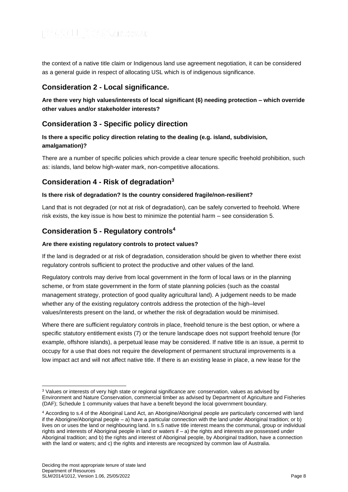the context of a native title claim or Indigenous land use agreement negotiation, it can be considered as a general guide in respect of allocating USL which is of indigenous significance.

# <span id="page-7-0"></span>**Consideration 2 - Local significance.**

**Are there very high values/interests of local significant (6) needing protection – which override other values and/or stakeholder interests?**

## <span id="page-7-1"></span>**Consideration 3 - Specific policy direction**

### **Is there a specific policy direction relating to the dealing (e.g. island, subdivision, amalgamation)?**

There are a number of specific policies which provide a clear tenure specific freehold prohibition, such as: islands, land below high-water mark, non-competitive allocations.

### <span id="page-7-2"></span>**Considerat**i**on 4 - Risk of degradation<sup>3</sup>**

#### **Is there risk of degradation? Is the country considered fragile/non-resilient?**

Land that is not degraded (or not at risk of degradation), can be safely converted to freehold. Where risk exists, the key issue is how best to minimize the potential harm – see consideration 5.

## <span id="page-7-3"></span>**Consideration 5 - Regulatory controls<sup>4</sup>**

#### **Are there existing regulatory controls to protect values?**

If the land is degraded or at risk of degradation, consideration should be given to whether there exist regulatory controls sufficient to protect the productive and other values of the land.

Regulatory controls may derive from local government in the form of local laws or in the planning scheme, or from state government in the form of state planning policies (such as the coastal management strategy, protection of good quality agricultural land). A judgement needs to be made whether any of the existing regulatory controls address the protection of the high–level values/interests present on the land, or whether the risk of degradation would be minimised.

Where there are sufficient regulatory controls in place, freehold tenure is the best option, or where a specific statutory entitlement exists (7) or the tenure landscape does not support freehold tenure (for example, offshore islands), a perpetual lease may be considered. If native title is an issue, a permit to occupy for a use that does not require the development of permanent structural improvements is a low impact act and will not affect native title. If there is an existing lease in place, a new lease for the

<sup>&</sup>lt;sup>3</sup> Values or interests of very high state or regional significance are: conservation, values as advised by Environment and Nature Conservation, commercial timber as advised by Department of Agriculture and Fisheries (DAF); Schedule 1 community values that have a benefit beyond the local government boundary.

<sup>4</sup> According to s.4 of the Aboriginal Land Act, an Aborigine/Aboriginal people are particularly concerned with land if the Aborigine/Aboriginal people – a) have a particular connection with the land under Aboriginal tradition; or b) lives on or uses the land or neighbouring land. In s.5 native title interest means the communal, group or individual rights and interests of Aboriginal people in land or waters if  $-$  a) the rights and interests are possessed under Aboriginal tradition; and b) the rights and interest of Aboriginal people, by Aboriginal tradition, have a connection with the land or waters; and c) the rights and interests are recognized by common law of Australia.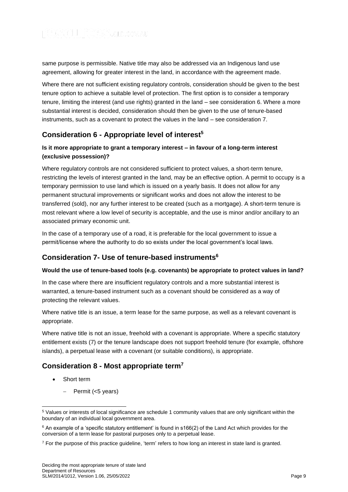same purpose is permissible. Native title may also be addressed via an Indigenous land use agreement, allowing for greater interest in the land, in accordance with the agreement made.

Where there are not sufficient existing regulatory controls, consideration should be given to the best tenure option to achieve a suitable level of protection. The first option is to consider a temporary tenure, limiting the interest (and use rights) granted in the land – see consideration 6. Where a more substantial interest is decided, consideration should then be given to the use of tenure-based instruments, such as a covenant to protect the values in the land – see consideration 7.

# <span id="page-8-0"></span>**Consideration 6 - Appropriate level of interest<sup>5</sup>**

### **Is it more appropriate to grant a temporary interest – in favour of a long-term interest (exclusive possession)?**

Where regulatory controls are not considered sufficient to protect values, a short-term tenure, restricting the levels of interest granted in the land, may be an effective option. A permit to occupy is a temporary permission to use land which is issued on a yearly basis. It does not allow for any permanent structural improvements or significant works and does not allow the interest to be transferred (sold), nor any further interest to be created (such as a mortgage). A short-term tenure is most relevant where a low level of security is acceptable, and the use is minor and/or ancillary to an associated primary economic unit.

In the case of a temporary use of a road, it is preferable for the local government to issue a permit/license where the authority to do so exists under the local government's local laws.

# <span id="page-8-1"></span>**Consideration 7- Use of tenure-based instruments<sup>6</sup>**

### **Would the use of tenure-based tools (e.g. covenants) be appropriate to protect values in land?**

In the case where there are insufficient regulatory controls and a more substantial interest is warranted, a tenure-based instrument such as a covenant should be considered as a way of protecting the relevant values.

Where native title is an issue, a term lease for the same purpose, as well as a relevant covenant is appropriate.

Where native title is not an issue, freehold with a covenant is appropriate. Where a specific statutory entitlement exists (7) or the tenure landscape does not support freehold tenure (for example, offshore islands), a perpetual lease with a covenant (or suitable conditions), is appropriate.

# <span id="page-8-2"></span>**Consideration 8 - Most appropriate term<sup>7</sup>**

- Short term
	- − Permit (<5 years)

<sup>5</sup> Values or interests of local significance are schedule 1 community values that are only significant within the boundary of an individual local government area.

 $6$  An example of a 'specific statutory entitlement' is found in s166(2) of the Land Act which provides for the conversion of a term lease for pastoral purposes only to a perpetual lease.

<sup>7</sup> For the purpose of this practice guideline, 'term' refers to how long an interest in state land is granted.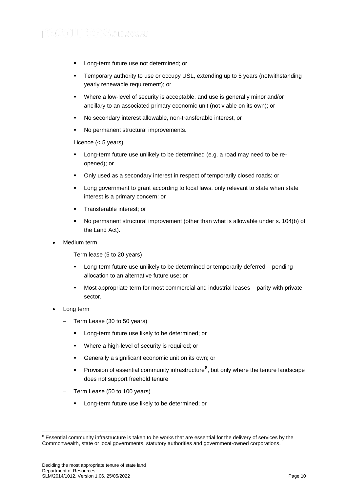- Long-term future use not determined; or
- Temporary authority to use or occupy USL, extending up to 5 years (notwithstanding yearly renewable requirement); or
- Where a low-level of security is acceptable, and use is generally minor and/or ancillary to an associated primary economic unit (not viable on its own); or
- No secondary interest allowable, non-transferable interest, or
- No permanent structural improvements.
- − Licence (< 5 years)
	- Long-term future use unlikely to be determined (e.g. a road may need to be reopened); or
	- Only used as a secondary interest in respect of temporarily closed roads; or
	- Long government to grant according to local laws, only relevant to state when state interest is a primary concern: or
	- Transferable interest; or
	- No permanent structural improvement (other than what is allowable under s. 104(b) of the Land Act).
- Medium term
	- − Term lease (5 to 20 years)
		- Long-term future use unlikely to be determined or temporarily deferred pending allocation to an alternative future use; or
		- Most appropriate term for most commercial and industrial leases parity with private sector.
- Long term
	- − Term Lease (30 to 50 years)
		- **EXEC** Long-term future use likely to be determined; or
		- Where a high-level of security is required; or
		- Generally a significant economic unit on its own; or
		- **•** Provision of essential community infrastructure<sup>8</sup>, but only where the tenure landscape does not support freehold tenure
	- − Term Lease (50 to 100 years)
		- **EXEC** Long-term future use likely to be determined; or

<sup>&</sup>lt;sup>8</sup> Essential community infrastructure is taken to be works that are essential for the delivery of services by the Commonwealth, state or local governments, statutory authorities and government-owned corporations.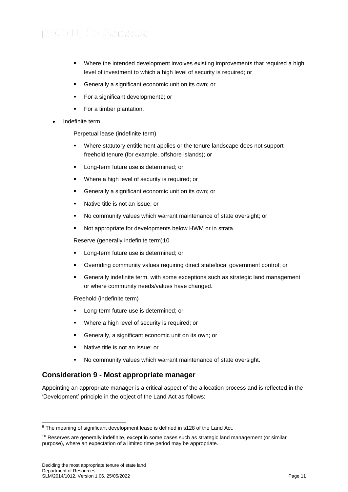- Where the intended development involves existing improvements that required a high level of investment to which a high level of security is required; or
- Generally a significant economic unit on its own; or
- For a significant development9; or
- For a timber plantation.
- Indefinite term
	- − Perpetual lease (indefinite term)
		- Where statutory entitlement applies or the tenure landscape does not support freehold tenure (for example, offshore islands); or
		- Long-term future use is determined; or
		- Where a high level of security is required; or
		- Generally a significant economic unit on its own; or
		- Native title is not an issue; or
		- No community values which warrant maintenance of state oversight; or
		- Not appropriate for developments below HWM or in strata.
	- − Reserve (generally indefinite term)10
		- **■** Long-term future use is determined; or
		- Overriding community values requiring direct state/local government control; or
		- Generally indefinite term, with some exceptions such as strategic land management or where community needs/values have changed.
	- − Freehold (indefinite term)
		- Long-term future use is determined; or
		- Where a high level of security is required; or
		- Generally, a significant economic unit on its own; or
		- Native title is not an issue; or
		- No community values which warrant maintenance of state oversight.

# <span id="page-10-0"></span>**Consideration 9 - Most appropriate manager**

Appointing an appropriate manager is a critical aspect of the allocation process and is reflected in the 'Development' principle in the object of the Land Act as follows:

<sup>9</sup> The meaning of significant development lease is defined in s128 of the Land Act*.*

<sup>&</sup>lt;sup>10</sup> Reserves are generally indefinite, except in some cases such as strategic land management (or similar purpose), where an expectation of a limited time period may be appropriate.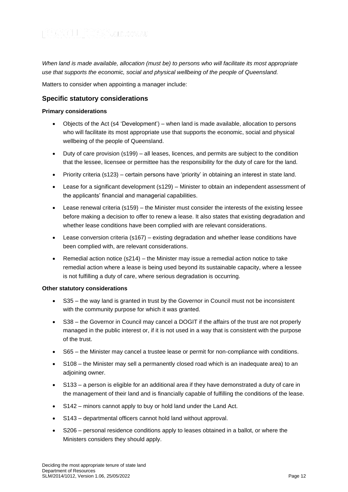*When land is made available, allocation (must be) to persons who will facilitate its most appropriate use that supports the economic, social and physical wellbeing of the people of Queensland.*

Matters to consider when appointing a manager include:

### <span id="page-11-0"></span>**Specific statutory considerations**

#### **Primary considerations**

- Objects of the Act (s4 'Development') when land is made available, allocation to persons who will facilitate its most appropriate use that supports the economic, social and physical wellbeing of the people of Queensland.
- Duty of care provision (s199) all leases, licences, and permits are subject to the condition that the lessee, licensee or permittee has the responsibility for the duty of care for the land.
- Priority criteria (s123) certain persons have 'priority' in obtaining an interest in state land.
- Lease for a significant development (s129) Minister to obtain an independent assessment of the applicants' financial and managerial capabilities.
- Lease renewal criteria (s159) the Minister must consider the interests of the existing lessee before making a decision to offer to renew a lease. It also states that existing degradation and whether lease conditions have been complied with are relevant considerations.
- Lease conversion criteria (s167) existing degradation and whether lease conditions have been complied with, are relevant considerations.
- Remedial action notice (s214) the Minister may issue a remedial action notice to take remedial action where a lease is being used beyond its sustainable capacity, where a lessee is not fulfilling a duty of care, where serious degradation is occurring.

#### **Other statutory considerations**

- S35 the way land is granted in trust by the Governor in Council must not be inconsistent with the community purpose for which it was granted.
- S38 the Governor in Council may cancel a DOGIT if the affairs of the trust are not properly managed in the public interest or, if it is not used in a way that is consistent with the purpose of the trust.
- S65 the Minister may cancel a trustee lease or permit for non-compliance with conditions.
- S108 the Minister may sell a permanently closed road which is an inadequate area) to an adjoining owner.
- S133 a person is eligible for an additional area if they have demonstrated a duty of care in the management of their land and is financially capable of fulfilling the conditions of the lease.
- S142 minors cannot apply to buy or hold land under the Land Act.
- S143 departmental officers cannot hold land without approval.
- S206 personal residence conditions apply to leases obtained in a ballot, or where the Ministers considers they should apply.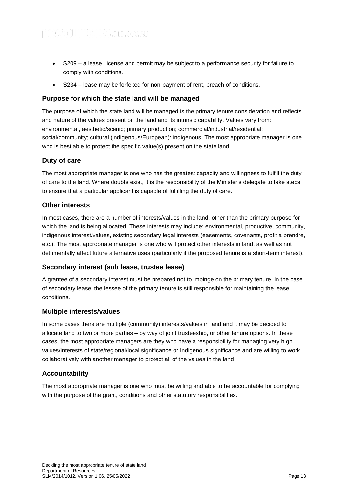- S209 a lease, license and permit may be subject to a performance security for failure to comply with conditions.
- S234 lease may be forfeited for non-payment of rent, breach of conditions.

### <span id="page-12-0"></span>**Purpose for which the state land will be managed**

The purpose of which the state land will be managed is the primary tenure consideration and reflects and nature of the values present on the land and its intrinsic capability. Values vary from: environmental, aesthetic/scenic; primary production; commercial/industrial/residential; social/community; cultural (indigenous/European): indigenous. The most appropriate manager is one who is best able to protect the specific value(s) present on the state land.

### <span id="page-12-1"></span>**Duty of care**

The most appropriate manager is one who has the greatest capacity and willingness to fulfill the duty of care to the land. Where doubts exist, it is the responsibility of the Minister's delegate to take steps to ensure that a particular applicant is capable of fulfilling the duty of care.

### <span id="page-12-2"></span>**Other interests**

In most cases, there are a number of interests/values in the land, other than the primary purpose for which the land is being allocated. These interests may include: environmental, productive, community, indigenous interest/values, existing secondary legal interests (easements, covenants, profit a prendre, etc.). The most appropriate manager is one who will protect other interests in land, as well as not detrimentally affect future alternative uses (particularly if the proposed tenure is a short-term interest).

### <span id="page-12-3"></span>**Secondary interest (sub lease, trustee lease)**

A grantee of a secondary interest must be prepared not to impinge on the primary tenure. In the case of secondary lease, the lessee of the primary tenure is still responsible for maintaining the lease conditions.

### <span id="page-12-4"></span>**Multiple interests/values**

In some cases there are multiple (community) interests/values in land and it may be decided to allocate land to two or more parties – by way of joint trusteeship, or other tenure options. In these cases, the most appropriate managers are they who have a responsibility for managing very high values/interests of state/regional/local significance or Indigenous significance and are willing to work collaboratively with another manager to protect all of the values in the land.

### <span id="page-12-5"></span>**Accountability**

The most appropriate manager is one who must be willing and able to be accountable for complying with the purpose of the grant, conditions and other statutory responsibilities.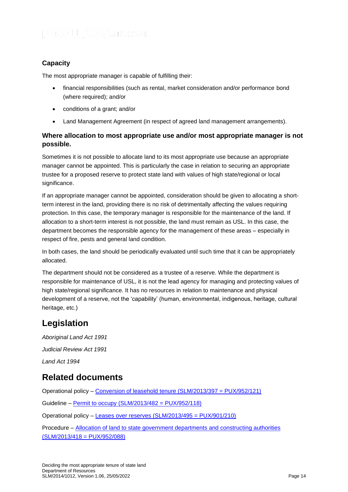# <span id="page-13-0"></span>**Capacity**

The most appropriate manager is capable of fulfilling their:

- financial responsibilities (such as rental, market consideration and/or performance bond (where required); and/or
- conditions of a grant; and/or
- Land Management Agreement (in respect of agreed land management arrangements).

### <span id="page-13-1"></span>**Where allocation to most appropriate use and/or most appropriate manager is not possible.**

Sometimes it is not possible to allocate land to its most appropriate use because an appropriate manager cannot be appointed. This is particularly the case in relation to securing an appropriate trustee for a proposed reserve to protect state land with values of high state/regional or local significance.

If an appropriate manager cannot be appointed, consideration should be given to allocating a shortterm interest in the land, providing there is no risk of detrimentally affecting the values requiring protection. In this case, the temporary manager is responsible for the maintenance of the land. If allocation to a short-term interest is not possible, the land must remain as USL. In this case, the department becomes the responsible agency for the management of these areas – especially in respect of fire, pests and general land condition.

In both cases, the land should be periodically evaluated until such time that it can be appropriately allocated.

The department should not be considered as a trustee of a reserve. While the department is responsible for maintenance of USL, it is not the lead agency for managing and protecting values of high state/regional significance. It has no resources in relation to maintenance and physical development of a reserve, not the 'capability' (human, environmental, indigenous, heritage, cultural heritage, etc.)

# <span id="page-13-2"></span>**Legislation**

*[Aboriginal Land Act 1991](https://www.legislation.qld.gov.au/LEGISLTN/CURRENT/A/AborLandA91.pdf) Judicial Review Act 1991 Land Act 1994*

# <span id="page-13-3"></span>**Related documents**

Operational policy – [Conversion of leasehold tenure \(SLM/2013/397 = PUX/952/121\)](https://www.resources.qld.gov.au/?a=109113:policy_registry/conversion-leasehold-tenure.pdf&ver=5.00)

Guideline – [Permit to occupy \(SLM/2013/482 = PUX/952/118\)](https://www.resources.qld.gov.au/?a=109113:policy_registry/permit-to-occupy.pdf&ver=5.00)

Operational policy – [Leases over reserves \(SLM/2013/495 = PUX/901/210\)](https://www.resources.qld.gov.au/?a=109113:policy_registry/leases-over-reserves.pdf&ver=4.02)

Procedure – [Allocation of land to state government departments and constructing authorities](https://www.resources.qld.gov.au/?a=109113:policy_registry/allocation-land-govt-depts-construct-auth.pdf&ver=7.09)  [\(SLM/2013/418 = PUX/952/088\)](https://www.resources.qld.gov.au/?a=109113:policy_registry/allocation-land-govt-depts-construct-auth.pdf&ver=7.09)